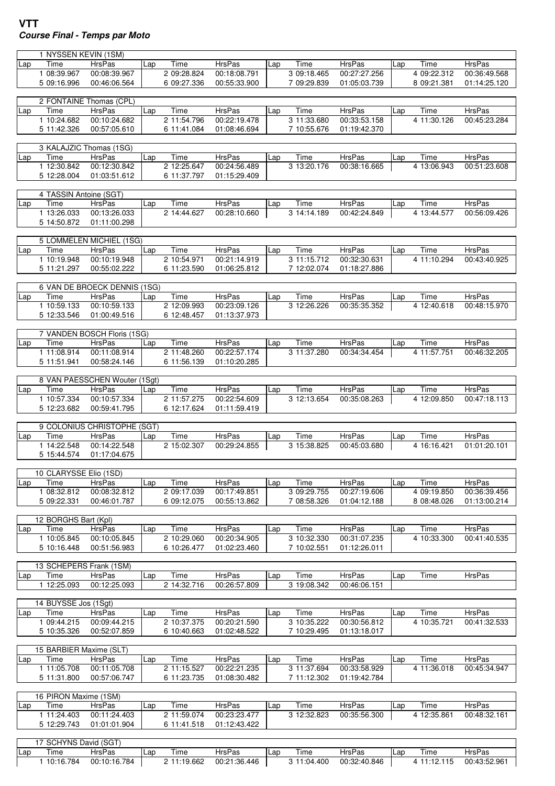## **VTT Course Final - Temps par Moto**

|     | 1 NYSSEN KEVIN (1SM)            |                               |     |                     |                               |     |                     |                        |     |                     |               |
|-----|---------------------------------|-------------------------------|-----|---------------------|-------------------------------|-----|---------------------|------------------------|-----|---------------------|---------------|
| Lap | Time                            | <b>HrsPas</b>                 | Lap | Time                | <b>HrsPas</b>                 | Lap | Time                | <b>HrsPas</b>          | Lap | Time                | <b>HrsPas</b> |
|     | 1 08:39.967                     | 00:08:39.967                  |     | 2 09:28.824         | 00:18:08.791                  |     | 3 09:18.465         | 00:27:27.256           |     | 4 09:22.312         | 00:36:49.568  |
|     | 5 09:16.996                     | 00:46:06.564                  |     | 6 09:27.336         | 00:55:33.900                  |     | 7 09:29.839         | 01:05:03.739           |     | 8 09:21.381         | 01:14:25.120  |
|     |                                 |                               |     |                     |                               |     |                     |                        |     |                     |               |
|     |                                 | 2 FONTAINE Thomas (CPL)       |     |                     |                               |     |                     |                        |     |                     |               |
| Lap | Time                            | <b>HrsPas</b>                 | Lap | Time                | <b>HrsPas</b>                 | Lap | Time                | <b>HrsPas</b>          | Lap | Time                | <b>HrsPas</b> |
|     | 1 10:24.682                     | 00:10:24.682                  |     | 2 11:54.796         | 00:22:19.478                  |     | 3 11:33.680         | 00:33:53.158           |     | 4 11:30.126         | 00:45:23.284  |
|     | 5 11:42.326                     | 00:57:05.610                  |     | 6 11:41.084         | 01:08:46.694                  |     | 7 10:55.676         | 01:19:42.370           |     |                     |               |
|     |                                 |                               |     |                     |                               |     |                     |                        |     |                     |               |
|     |                                 | 3 KALAJZIC Thomas (1SG)       |     |                     |                               |     |                     |                        |     |                     |               |
| Lap | Time                            | <b>HrsPas</b>                 | Lap | Time                | <b>HrsPas</b>                 | Lap | Time                | <b>HrsPas</b>          | Lap | Time                | <b>HrsPas</b> |
|     | 1 12:30.842                     | 00:12:30.842                  |     | 2 12:25.647         | 00:24:56.489                  |     | 3 13:20.176         | 00:38:16.665           |     | 4 13:06.943         | 00:51:23.608  |
|     | 5 12:28.004                     | 01:03:51.612                  |     | 6 11:37.797         | 01:15:29.409                  |     |                     |                        |     |                     |               |
|     |                                 |                               |     |                     |                               |     |                     |                        |     |                     |               |
|     | 4 TASSIN Antoine (SGT)          |                               |     |                     |                               |     |                     |                        |     |                     | <b>HrsPas</b> |
| Lap | Time<br>1 13:26.033             | <b>HrsPas</b><br>00:13:26.033 | Lap | Time<br>2 14:44.627 | <b>HrsPas</b><br>00:28:10.660 | Lap | Time<br>3 14:14.189 | HrsPas<br>00:42:24.849 | Lap | Time<br>4 13:44.577 | 00:56:09.426  |
|     |                                 |                               |     |                     |                               |     |                     |                        |     |                     |               |
|     | 5 14:50.872                     | 01:11:00.298                  |     |                     |                               |     |                     |                        |     |                     |               |
|     |                                 | 5 LOMMELEN MICHIEL (1SG)      |     |                     |                               |     |                     |                        |     |                     |               |
| Lap | Time                            | <b>HrsPas</b>                 | Lap | Time                | <b>HrsPas</b>                 | Lap | Time                | <b>HrsPas</b>          | Lap | Time                | <b>HrsPas</b> |
|     | 1 10:19.948                     | 00:10:19.948                  |     | 2 10:54.971         | 00:21:14.919                  |     | 3 11:15.712         | 00:32:30.631           |     | 4 11:10.294         | 00:43:40.925  |
|     | 5 11:21.297                     | 00:55:02.222                  |     | 6 11:23.590         | 01:06:25.812                  |     | 7 12:02.074         | 01:18:27.886           |     |                     |               |
|     |                                 |                               |     |                     |                               |     |                     |                        |     |                     |               |
|     |                                 | 6 VAN DE BROECK DENNIS (1SG)  |     |                     |                               |     |                     |                        |     |                     |               |
| Lap | Time                            | <b>HrsPas</b>                 | Lap | Time                | <b>HrsPas</b>                 | Lap | Time                | <b>HrsPas</b>          | Lap | Time                | <b>HrsPas</b> |
|     | 1 10:59.133                     | 00:10:59.133                  |     | 2 12:09.993         | 00:23:09.126                  |     | 3 12:26.226         | 00:35:35.352           |     | 4 12:40.618         | 00:48:15.970  |
|     | 5 12:33.546                     | 01:00:49.516                  |     | 6 12:48.457         | 01:13:37.973                  |     |                     |                        |     |                     |               |
|     |                                 |                               |     |                     |                               |     |                     |                        |     |                     |               |
|     |                                 | 7 VANDEN BOSCH Floris (1SG)   |     |                     |                               |     |                     |                        |     |                     |               |
| Lap | Time                            | <b>HrsPas</b>                 | Lap | Time                | <b>HrsPas</b>                 | Lap | Time                | <b>HrsPas</b>          | Lap | Time                | <b>HrsPas</b> |
|     | 1 11:08.914                     | 00:11:08.914                  |     | 2 11:48.260         | 00:22:57.174                  |     | 3 11:37.280         | 00:34:34.454           |     | 4 11:57.751         | 00:46:32.205  |
|     | 5 11:51.941                     | 00:58:24.146                  |     | 6 11:56.139         | 01:10:20.285                  |     |                     |                        |     |                     |               |
|     |                                 |                               |     |                     |                               |     |                     |                        |     |                     |               |
|     |                                 | 8 VAN PAESSCHEN Wouter (1Sgt) |     |                     |                               |     |                     |                        |     |                     |               |
| Lap | Time                            | <b>HrsPas</b>                 | Lap | Time                | <b>HrsPas</b>                 | Lap | Time                | <b>HrsPas</b>          | Lap | Time                | <b>HrsPas</b> |
|     | 1 10:57.334                     | 00:10:57.334                  |     | 2 11:57.275         | 00:22:54.609                  |     | 3 12:13.654         | 00:35:08.263           |     | 4 12:09.850         | 00:47:18.113  |
|     | 5 12:23.682                     | 00:59:41.795                  |     | 6 12:17.624         | 01:11:59.419                  |     |                     |                        |     |                     |               |
|     |                                 |                               |     |                     |                               |     |                     |                        |     |                     |               |
|     |                                 | 9 COLONIUS CHRISTOPHE (SGT)   |     |                     |                               |     |                     |                        |     |                     |               |
| Lap | Time                            | <b>HrsPas</b>                 | Lap | Time                | <b>HrsPas</b>                 | Lap | Time                | <b>HrsPas</b>          | Lap | Time                | <b>HrsPas</b> |
|     | 1 14:22.548                     | 00:14:22.548                  |     | 2 15:02.307         | 00:29:24.855                  |     | 3 15:38.825         | 00:45:03.680           |     | 4 16:16.421         | 01:01:20.101  |
|     | 5 15:44.574                     | 01:17:04.675                  |     |                     |                               |     |                     |                        |     |                     |               |
|     |                                 |                               |     |                     |                               |     |                     |                        |     |                     |               |
|     | 10 CLARYSSE Elio (1SD)          |                               |     |                     |                               |     |                     |                        |     |                     |               |
| Lap | Time                            | <b>HrsPas</b>                 | Lap | Time                | <b>HrsPas</b>                 | Lap | Time                | <b>HrsPas</b>          | Lap | Time                | <b>HrsPas</b> |
|     | 1 08:32.812                     | 00:08:32.812                  |     | 2 09:17.039         | 00:17:49.851                  |     | 3 09:29.755         | 00:27:19.606           |     | 4 09:19.850         | 00:36:39.456  |
|     | 5 09:22.331                     | 00:46:01.787                  |     | 6 09:12.075         | 00:55:13.862                  |     | 7 08:58.326         | 01:04:12.188           |     | 8 08:48.026         | 01:13:00.214  |
|     |                                 |                               |     |                     |                               |     |                     |                        |     |                     |               |
|     | 12 BORGHS Bart (Kpl)            |                               |     |                     |                               |     |                     |                        |     |                     |               |
| Lap | Time                            | <b>HrsPas</b>                 | Lap | Time                | <b>HrsPas</b>                 | Lap | Time                | <b>HrsPas</b>          | Lap | Time                | <b>HrsPas</b> |
|     | 1 10:05.845                     | 00:10:05.845                  |     | 2 10:29.060         | 00:20:34.905                  |     | 3 10:32.330         | 00:31:07.235           |     | 4 10:33.300         | 00:41:40.535  |
|     | 5 10:16.448                     | 00:51:56.983                  |     | 6 10:26.477         | 01:02:23.460                  |     | 7 10:02.551         | 01:12:26.011           |     |                     |               |
|     |                                 |                               |     |                     |                               |     |                     |                        |     |                     |               |
| Lap | 13 SCHEPERS Frank (1SM)<br>Time | <b>HrsPas</b>                 | Lap | Time                | <b>HrsPas</b>                 |     | Time                | <b>HrsPas</b>          |     | Time                | <b>HrsPas</b> |
|     | 1 12:25.093                     | 00:12:25.093                  |     | 2 14:32.716         | 00:26:57.809                  | Lap | 3 19:08.342         | 00:46:06.151           | Lap |                     |               |
|     |                                 |                               |     |                     |                               |     |                     |                        |     |                     |               |
|     | 14 BUYSSE Jos (1Sgt)            |                               |     |                     |                               |     |                     |                        |     |                     |               |
|     | Time                            | <b>HrsPas</b>                 | Lap | Time                | <b>HrsPas</b>                 | Lap | Time                | <b>HrsPas</b>          | Lap | Time                | <b>HrsPas</b> |
| Lap | 1 09:44.215                     | 00:09:44.215                  |     | 2 10:37.375         | 00:20:21.590                  |     | 3 10:35.222         | 00:30:56.812           |     | 4 10:35.721         | 00:41:32.533  |
|     | 5 10:35.326                     | 00:52:07.859                  |     | 6 10:40.663         | 01:02:48.522                  |     | 7 10:29.495         | 01:13:18.017           |     |                     |               |
|     |                                 |                               |     |                     |                               |     |                     |                        |     |                     |               |
|     | 15 BARBIER Maxime (SLT)         |                               |     |                     |                               |     |                     |                        |     |                     |               |
| Lap | Time                            | <b>HrsPas</b>                 | Lap | Time                | <b>HrsPas</b>                 | Lap | Time                | <b>HrsPas</b>          | Lap | Time                | <b>HrsPas</b> |
|     | 1 11:05.708                     | 00:11:05.708                  |     | 2 11:15.527         | 00:22:21.235                  |     | 3 11:37.694         | 00:33:58.929           |     | 4 11:36.018         | 00:45:34.947  |
|     | 5 11:31.800                     | 00:57:06.747                  |     | 6 11:23.735         | 01:08:30.482                  |     | 7 11:12.302         | 01:19:42.784           |     |                     |               |
|     |                                 |                               |     |                     |                               |     |                     |                        |     |                     |               |
|     | 16 PIRON Maxime (1SM)           |                               |     |                     |                               |     |                     |                        |     |                     |               |
| Lap | Time                            | HrsPas                        | Lap | Time                | <b>HrsPas</b>                 | Lap | Time                | HrsPas                 | Lap | Time                | <b>HrsPas</b> |
|     | 1 11:24.403                     | 00:11:24.403                  |     | 2 11:59.074         | 00:23:23.477                  |     | 3 12:32.823         | 00:35:56.300           |     | 4 12:35.861         | 00:48:32.161  |
|     | 5 12:29.743                     | 01:01:01.904                  |     | 6 11:41.518         | 01:12:43.422                  |     |                     |                        |     |                     |               |
|     |                                 |                               |     |                     |                               |     |                     |                        |     |                     |               |
|     | 17 SCHYNS David (SGT)           |                               |     |                     |                               |     |                     |                        |     |                     |               |
| Lap | Time                            | HrsPas                        | Lap | Time                | <b>HrsPas</b>                 | Lap | Time                | HrsPas                 | Lap | Time                | <b>HrsPas</b> |
|     | 1 10:16.784                     | 00:10:16.784                  |     | 2 11:19.662         | 00:21:36.446                  |     | 3 11:04.400         | 00:32:40.846           |     | 4 11:12.115         | 00:43:52.961  |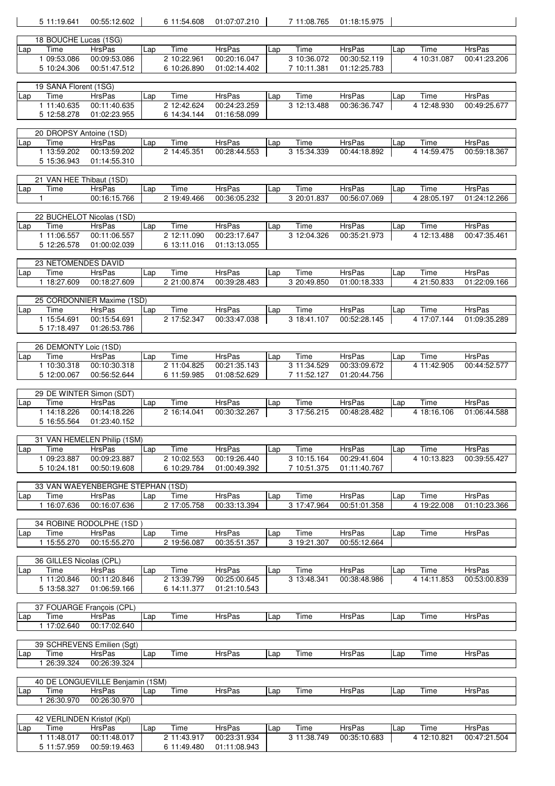|     |              | 5 11:19.641                | 00:55:12.602                                |     | 6 11:54.608                | 01:07:07.210                  |     | 7 11:08.765         | 01:18:15.975                  |     |                     |                               |
|-----|--------------|----------------------------|---------------------------------------------|-----|----------------------------|-------------------------------|-----|---------------------|-------------------------------|-----|---------------------|-------------------------------|
|     |              | 18 BOUCHE Lucas (1SG)      |                                             |     |                            |                               |     |                     |                               |     |                     |                               |
| Lap |              | Time                       | <b>HrsPas</b>                               | Lap | Time                       | HrsPas                        | Lap | Time                | <b>HrsPas</b>                 | Lap | Time                | <b>HrsPas</b>                 |
|     |              | 1 09:53.086                | 00:09:53.086                                |     | 2 10:22.961                | 00:20:16.047                  |     | 3 10:36.072         | 00:30:52.119                  |     | 4 10:31.087         | 00:41:23.206                  |
|     |              | 5 10:24.306                | 00:51:47.512                                |     | 6 10:26.890                | 01:02:14.402                  |     | 7 10:11.381         | 01:12:25.783                  |     |                     |                               |
|     |              |                            |                                             |     |                            |                               |     |                     |                               |     |                     |                               |
|     |              | 19 SANA Florent (1SG)      |                                             |     |                            |                               |     |                     |                               |     |                     |                               |
| Lap |              | Time                       | <b>HrsPas</b>                               | Lap | Time                       | <b>HrsPas</b>                 | Lap | Time                | HrsPas                        | Lap | Time                | <b>HrsPas</b>                 |
|     |              | 1 11:40.635<br>5 12:58.278 | 00:11:40.635<br>01:02:23.955                |     | 2 12:42.624<br>6 14:34.144 | 00:24:23.259<br>01:16:58.099  |     | 3 12:13.488         | 00:36:36.747                  |     | 4 12:48.930         | 00:49:25.677                  |
|     |              |                            |                                             |     |                            |                               |     |                     |                               |     |                     |                               |
|     |              | 20 DROPSY Antoine (1SD)    |                                             |     |                            |                               |     |                     |                               |     |                     |                               |
| Lap |              | Time                       | <b>HrsPas</b>                               | Lap | Time                       | HrsPas                        | Lap | Time                | HrsPas                        | Lap | Time                | <b>HrsPas</b>                 |
|     |              | 1 13:59.202                | 00:13:59.202                                |     | 2 14:45.351                | 00:28:44.553                  |     | 3 15:34.339         | 00:44:18.892                  |     | 4 14:59.475         | 00:59:18.367                  |
|     |              | 5 15:36.943                | 01:14:55.310                                |     |                            |                               |     |                     |                               |     |                     |                               |
|     |              | 21 VAN HEE Thibaut (1SD)   |                                             |     |                            |                               |     |                     |                               |     |                     |                               |
| Lap |              | Time                       | <b>HrsPas</b>                               | Lap | Time                       | <b>HrsPas</b>                 | Lap | Time                | <b>HrsPas</b>                 | Lap | Time                | <b>HrsPas</b>                 |
|     | $\mathbf{1}$ |                            | 00:16:15.766                                |     | 2 19:49.466                | 00:36:05.232                  |     | 3 20:01.837         | 00:56:07.069                  |     | 4 28:05.197         | 01:24:12.266                  |
|     |              |                            |                                             |     |                            |                               |     |                     |                               |     |                     |                               |
|     |              |                            | 22 BUCHELOT Nicolas (1SD)                   |     |                            |                               |     |                     |                               |     |                     |                               |
| Lap |              | Time                       | <b>HrsPas</b>                               | Lap | Time                       | <b>HrsPas</b>                 | Lap | Time                | <b>HrsPas</b>                 | Lap | Time                | <b>HrsPas</b>                 |
|     |              | 1 11:06.557<br>5 12:26.578 | 00:11:06.557<br>01:00:02.039                |     | 2 12:11.090<br>6 13:11.016 | 00:23:17.647<br>01:13:13.055  |     | 3 12:04.326         | 00:35:21.973                  |     | 4 12:13.488         | 00:47:35.461                  |
|     |              |                            |                                             |     |                            |                               |     |                     |                               |     |                     |                               |
|     |              | 23 NETOMENDES DAVID        |                                             |     |                            |                               |     |                     |                               |     |                     |                               |
| Lap |              | Time                       | <b>HrsPas</b>                               | Lap | Time                       | HrsPas                        | Lap | Time                | <b>HrsPas</b>                 | Lap | Time                | <b>HrsPas</b>                 |
|     |              | 1 18:27.609                | 00:18:27.609                                |     | 2 21:00.874                | 00:39:28.483                  |     | 3 20:49.850         | 01:00:18.333                  |     | 4 21:50.833         | 01:22:09.166                  |
|     |              |                            |                                             |     |                            |                               |     |                     |                               |     |                     |                               |
|     |              | Time                       | 25 CORDONNIER Maxime (1SD)<br><b>HrsPas</b> | Lap | Time                       | <b>HrsPas</b>                 |     | Time                | <b>HrsPas</b>                 |     | Time                | <b>HrsPas</b>                 |
| Lap |              | 1 15:54.691                | 00:15:54.691                                |     | 2 17:52.347                | 00:33:47.038                  | Lap | 318:41.107          | 00:52:28.145                  | Lap | 4 17:07.144         | 01:09:35.289                  |
|     |              | 5 17:18.497                | 01:26:53.786                                |     |                            |                               |     |                     |                               |     |                     |                               |
|     |              |                            |                                             |     |                            |                               |     |                     |                               |     |                     |                               |
|     |              | 26 DEMONTY Loic (1SD)      |                                             |     |                            |                               |     |                     |                               |     |                     |                               |
| Lap |              | Time                       | <b>HrsPas</b>                               | Lap | Time                       | <b>HrsPas</b>                 | Lap | Time                | <b>HrsPas</b>                 | Lap | Time                | <b>HrsPas</b>                 |
|     |              | 1 10:30.318                | 00:10:30.318                                |     | 2 11:04.825                | 00:21:35.143                  |     | 3 11:34.529         | 00:33:09.672                  |     | 4 11:42.905         | 00:44:52.577                  |
|     |              | 5 12:00.067                | 00:56:52.644                                |     | 6 11:59.985                | 01:08:52.629                  |     | 7 11:52.127         | 01:20:44.756                  |     |                     |                               |
|     |              |                            |                                             |     |                            |                               |     |                     |                               |     |                     |                               |
|     |              |                            |                                             |     |                            |                               |     |                     |                               |     |                     |                               |
|     |              |                            | 29 DE WINTER Simon (SDT)                    |     |                            |                               |     |                     |                               |     |                     |                               |
| Lap |              | Time<br>1 14:18.226        | <b>HrsPas</b><br>00:14:18.226               | Lap | Time<br>2 16:14.041        | <b>HrsPas</b><br>00:30:32.267 | Lap | Time<br>3 17:56.215 | <b>HrsPas</b><br>00:48:28.482 | Lap | Time<br>4 18:16.106 | <b>HrsPas</b><br>01:06:44.588 |
|     |              | 5 16:55.564                | 01:23:40.152                                |     |                            |                               |     |                     |                               |     |                     |                               |
|     |              |                            |                                             |     |                            |                               |     |                     |                               |     |                     |                               |
|     |              |                            | 31 VAN HEMELEN Philip (1SM)                 |     |                            |                               |     |                     |                               |     |                     |                               |
| Lap |              | Time                       | <b>HrsPas</b>                               | Lap | Time                       | HrsPas                        | Lap | Time                | HrsPas                        | Lap | Time                | <b>HrsPas</b>                 |
|     |              | 1 09:23.887                | 00:09:23.887                                |     | 2 10:02.553                | 00:19:26.440                  |     | 3 10:15.164         | 00:29:41.604                  |     | 4 10:13.823         | 00:39:55.427                  |
|     |              | 5 10:24.181                | 00:50:19.608                                |     | 6 10:29.784                | 01:00:49.392                  |     | 7 10:51.375         | 01:11:40.767                  |     |                     |                               |
|     |              |                            | 33 VAN WAEYENBERGHE STEPHAN (1SD)           |     |                            |                               |     |                     |                               |     |                     |                               |
| Lap |              | Time                       | <b>HrsPas</b>                               | Lap | Time                       | <b>HrsPas</b>                 | Lap | Time                | HrsPas                        | Lap | Time                | HrsPas                        |
|     |              | 1 16:07.636                | 00:16:07.636                                |     | 2 17:05.758                | 00:33:13.394                  |     | 3 17:47.964         | 00:51:01.358                  |     | 4 19:22.008         | 01:10:23.366                  |
|     |              |                            |                                             |     |                            |                               |     |                     |                               |     |                     |                               |
|     |              |                            | 34 ROBINE RODOLPHE (1SD)                    |     |                            |                               |     |                     |                               |     |                     |                               |
| Lap |              | Time                       | <b>HrsPas</b>                               | Lap | Time                       | <b>HrsPas</b>                 | Lap | Time<br>3 19:21.307 | <b>HrsPas</b>                 | Lap | Time                | <b>HrsPas</b>                 |
|     |              | 1 15:55.270                | 00:15:55.270                                |     | 2 19:56.087                | 00:35:51.357                  |     |                     | 00:55:12.664                  |     |                     |                               |
|     |              | 36 GILLES Nicolas (CPL)    |                                             |     |                            |                               |     |                     |                               |     |                     |                               |
| Lap |              | Time                       | HrsPas                                      | Lap | Time                       | <b>HrsPas</b>                 | Lap | Time                | <b>HrsPas</b>                 | Lap | Time                | <b>HrsPas</b>                 |
|     |              | 1 11:20.846                | 00:11:20.846                                |     | 2 13:39.799                | 00:25:00.645                  |     | 3 13:48.341         | 00:38:48.986                  |     | 4 14:11.853         | 00:53:00.839                  |
|     |              | 5 13:58.327                | 01:06:59.166                                |     | 6 14:11.377                | 01:21:10.543                  |     |                     |                               |     |                     |                               |
|     |              |                            |                                             |     |                            |                               |     |                     |                               |     |                     |                               |
| Lap |              | Time                       | 37 FOUARGE François (CPL)<br><b>HrsPas</b>  | Lap |                            | <b>HrsPas</b>                 | Lap | Time                | <b>HrsPas</b>                 | Lap | Time                | <b>HrsPas</b>                 |
|     |              | 1 17:02.640                | 00:17:02.640                                |     | Time                       |                               |     |                     |                               |     |                     |                               |
|     |              |                            |                                             |     |                            |                               |     |                     |                               |     |                     |                               |
|     |              |                            | 39 SCHREVENS Emilien (Sgt)                  |     |                            |                               |     |                     |                               |     |                     |                               |
| Lap |              | Time                       | HrsPas                                      | Lap | Time                       | HrsPas                        | Lap | Time                | <b>HrsPas</b>                 | Lap | Time                | HrsPas                        |
|     |              | 1 26:39.324                | 00:26:39.324                                |     |                            |                               |     |                     |                               |     |                     |                               |
|     |              |                            | 40 DE LONGUEVILLE Benjamin (1SM)            |     |                            |                               |     |                     |                               |     |                     |                               |
| Lap |              | Time                       | HrsPas                                      | Lap | Time                       | <b>HrsPas</b>                 | Lap | Time                | <b>HrsPas</b>                 | Lap | Time                | <b>HrsPas</b>                 |
|     |              | 1 26:30.970                | 00:26:30.970                                |     |                            |                               |     |                     |                               |     |                     |                               |
|     |              |                            |                                             |     |                            |                               |     |                     |                               |     |                     |                               |
|     |              |                            | 42 VERLINDEN Kristof (Kpl)                  |     |                            |                               |     |                     |                               |     |                     |                               |
| Lap |              | Time<br>1 11:48.017        | <b>HrsPas</b><br>00:11:48.017               | Lap | Time<br>2 11:43.917        | <b>HrsPas</b><br>00:23:31.934 | Lap | Time<br>3 11:38.749 | HrsPas<br>00:35:10.683        | Lap | Time<br>4 12:10.821 | <b>HrsPas</b><br>00:47:21.504 |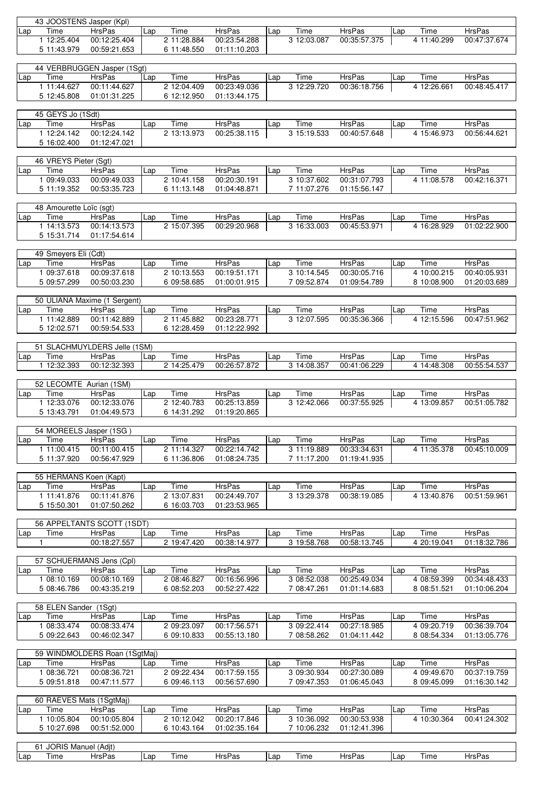|              | 43 JOOSTENS Jasper (Kpl)       |                               |     |             |               |     |             |               |     |             |               |
|--------------|--------------------------------|-------------------------------|-----|-------------|---------------|-----|-------------|---------------|-----|-------------|---------------|
| Lap          | Time                           | <b>HrsPas</b>                 | Lap | Time        | <b>HrsPas</b> | Lap | Time        | <b>HrsPas</b> | Lap | Time        | <b>HrsPas</b> |
|              | 1 12:25.404                    | 00:12:25.404                  |     | 2 11:28.884 | 00:23:54.288  |     | 3 12:03.087 | 00:35:57.375  |     | 4 11:40.299 | 00:47:37.674  |
|              | 5 11:43.979                    | 00:59:21.653                  |     | 6 11:48.550 | 01:11:10.203  |     |             |               |     |             |               |
|              |                                |                               |     |             |               |     |             |               |     |             |               |
|              |                                | 44 VERBRUGGEN Jasper (1Sgt)   |     |             |               |     |             |               |     |             |               |
| Lap          | Time                           | <b>HrsPas</b>                 | Lap | Time        | <b>HrsPas</b> | Lap | Time        | <b>HrsPas</b> | Lap | Time        | <b>HrsPas</b> |
|              | 1 11:44.627                    | 00:11:44.627                  |     | 2 12:04.409 | 00:23:49.036  |     | 3 12:29.720 | 00:36:18.756  |     | 4 12:26.661 | 00:48:45.417  |
|              | 5 12:45.808                    | 01:01:31.225                  |     | 6 12:12.950 | 01:13:44.175  |     |             |               |     |             |               |
|              |                                |                               |     |             |               |     |             |               |     |             |               |
|              |                                |                               |     |             |               |     |             |               |     |             |               |
|              | 45 GEYS Jo (1Sdt)              |                               |     |             |               |     |             |               |     |             |               |
| Lap          | Time                           | <b>HrsPas</b>                 | Lap | Time        | <b>HrsPas</b> | Lap | Time        | <b>HrsPas</b> | Lap | Time        | <b>HrsPas</b> |
|              | 1 12:24.142                    | 00:12:24.142                  |     | 2 13:13.973 | 00:25:38.115  |     | 3 15:19.533 | 00:40:57.648  |     | 4 15:46.973 | 00:56:44.621  |
|              | 5 16:02.400                    | 01:12:47.021                  |     |             |               |     |             |               |     |             |               |
|              |                                |                               |     |             |               |     |             |               |     |             |               |
|              | 46 VREYS Pieter (Sgt)          |                               |     |             |               |     |             |               |     |             |               |
| Lap          | Time                           | HrsPas                        | Lap | Time        | <b>HrsPas</b> | Lap | Time        | <b>HrsPas</b> | Lap | Time        | <b>HrsPas</b> |
|              | 1 09:49.033                    | 00:09:49.033                  |     | 2 10:41.158 | 00:20:30.191  |     | 3 10:37.602 | 00:31:07.793  |     | 4 11:08.578 | 00:42:16.371  |
|              |                                |                               |     |             |               |     |             |               |     |             |               |
|              | 5 11:19.352                    | 00:53:35.723                  |     | 6 11:13.148 | 01:04:48.871  |     | 7 11:07.276 | 01:15:56.147  |     |             |               |
|              |                                |                               |     |             |               |     |             |               |     |             |               |
|              | 48 Amourette Loïc (sgt)        |                               |     |             |               |     |             |               |     |             |               |
| Lap          | Time                           | <b>HrsPas</b>                 | Lap | Time        | <b>HrsPas</b> | Lap | Time        | <b>HrsPas</b> | Lap | Time        | <b>HrsPas</b> |
|              | 1 14:13.573                    | 00:14:13.573                  |     | 2 15:07.395 | 00:29:20.968  |     | 3 16:33.003 | 00:45:53.971  |     | 4 16:28.929 | 01:02:22.900  |
|              | 5 15:31.714                    | 01:17:54.614                  |     |             |               |     |             |               |     |             |               |
|              |                                |                               |     |             |               |     |             |               |     |             |               |
|              | 49 Smeyers Eli (Cdt)           |                               |     |             |               |     |             |               |     |             |               |
| Lap          | Time                           | <b>HrsPas</b>                 |     | Time        | <b>HrsPas</b> |     | Time        | <b>HrsPas</b> |     | Time        | <b>HrsPas</b> |
|              |                                |                               | Lap |             |               | Lap |             |               | Lap |             |               |
|              | 1 09:37.618                    | 00:09:37.618                  |     | 2 10:13.553 | 00:19:51.171  |     | 3 10:14.545 | 00:30:05.716  |     | 4 10:00.215 | 00:40:05.931  |
|              | 5 09:57.299                    | 00:50:03.230                  |     | 6 09:58.685 | 01:00:01.915  |     | 7 09:52.874 | 01:09:54.789  |     | 8 10:08.900 | 01:20:03.689  |
|              |                                |                               |     |             |               |     |             |               |     |             |               |
|              |                                | 50 ULIANA Maxime (1 Sergent)  |     |             |               |     |             |               |     |             |               |
| Lap          | Time                           | <b>HrsPas</b>                 | Lap | Time        | HrsPas        | Lap | Time        | <b>HrsPas</b> | Lap | Time        | <b>HrsPas</b> |
|              | 1 11:42.889                    | 00:11:42.889                  |     | 2 11:45.882 | 00:23:28.771  |     | 3 12:07.595 | 00:35:36.366  |     | 4 12:15.596 | 00:47:51.962  |
|              | 5 12:02.571                    | 00:59:54.533                  |     | 6 12:28.459 | 01:12:22.992  |     |             |               |     |             |               |
|              |                                |                               |     |             |               |     |             |               |     |             |               |
|              |                                |                               |     |             |               |     |             |               |     |             |               |
|              |                                | 51 SLACHMUYLDERS Jelle (1SM)  |     |             |               |     |             |               |     |             |               |
| Lap          | Time                           | <b>HrsPas</b>                 | Lap | Time        | HrsPas        | Lap | Time        | HrsPas        | Lap | Time        | <b>HrsPas</b> |
|              | 1 12:32.393                    | 00:12:32.393                  |     | 2 14:25.479 | 00:26:57.872  |     | 314:08.357  | 00:41:06.229  |     | 4 14:48.308 | 00:55:54.537  |
|              |                                |                               |     |             |               |     |             |               |     |             |               |
|              |                                | 52 LECOMTE Aurian (1SM)       |     |             |               |     |             |               |     |             |               |
|              |                                |                               |     |             | <b>HrsPas</b> |     |             |               |     | Time        | <b>HrsPas</b> |
|              |                                |                               |     |             |               |     |             |               |     |             |               |
| Lap          | Time                           | HrsPas                        | Lap | Time        |               | Lap | Time        | <b>HrsPas</b> | Lap |             |               |
|              | 1 12:33.076                    | 00:12:33.076                  |     | 2 12:40.783 | 00:25:13.859  |     | 3 12:42.066 | 00:37:55.925  |     | 4 13:09.857 | 00:51:05.782  |
|              | 5 13:43.791                    | 01:04:49.573                  |     | 6 14:31.292 | 01:19:20.865  |     |             |               |     |             |               |
|              |                                |                               |     |             |               |     |             |               |     |             |               |
|              |                                | 54 MOREELS Jasper (1SG)       |     |             |               |     |             |               |     |             |               |
| Lap          | Time                           | HrsPas                        | Lap | Time        | HrsPas        | Lap | Time        | HrsPas        | Lap | Time        | HrsPas        |
|              | 1 11:00.415                    | 00:11:00.415                  |     | 2 11:14.327 | 00:22:14.742  |     | 311:19.889  | 00:33:34.631  |     | 4 11:35.378 | 00:45:10.009  |
|              | 5 11:37.920                    | 00:56:47.929                  |     | 6 11:36.806 | 01:08:24.735  |     | 7 11:17.200 | 01:19:41.935  |     |             |               |
|              |                                |                               |     |             |               |     |             |               |     |             |               |
|              |                                |                               |     |             |               |     |             |               |     |             |               |
|              | 55 HERMANS Koen (Kapt)         |                               |     |             |               |     |             |               |     |             |               |
| Lap          | Time                           | <b>HrsPas</b>                 | Lap | Time        | <b>HrsPas</b> | Lap | Time        | HrsPas        | Lap | Time        | <b>HrsPas</b> |
|              | 1 11:41.876                    | 00:11:41.876                  |     | 2 13:07.831 | 00:24:49.707  |     | 3 13:29.378 | 00:38:19.085  |     | 4 13:40.876 | 00:51:59.961  |
|              | 5 15:50.301                    | 01:07:50.262                  |     | 6 16:03.703 | 01:23:53.965  |     |             |               |     |             |               |
|              |                                |                               |     |             |               |     |             |               |     |             |               |
|              |                                | 56 APPELTANTS SCOTT (1SDT)    |     |             |               |     |             |               |     |             |               |
| Lap          | Time                           | HrsPas                        | Lap | Time        | <b>HrsPas</b> | Lap | Time        | HrsPas        | Lap | Time        | <b>HrsPas</b> |
| $\mathbf{1}$ |                                | 00:18:27.557                  |     | 2 19:47.420 | 00:38:14.977  |     | 3 19:58.768 | 00:58:13.745  |     | 4 20:19.041 | 01:18:32.786  |
|              |                                |                               |     |             |               |     |             |               |     |             |               |
|              |                                | 57 SCHUERMANS Jens (Cpl)      |     |             |               |     |             |               |     |             |               |
|              |                                |                               |     |             |               |     |             |               |     |             |               |
| Lap          | Time                           | <b>HrsPas</b>                 | Lap | Time        | <b>HrsPas</b> | Lap | Time        | HrsPas        | Lap | Time        | <b>HrsPas</b> |
|              | 1 08:10.169                    | 00:08:10.169                  |     | 2 08:46.827 | 00:16:56.996  |     | 3 08:52.038 | 00:25:49.034  |     | 4 08:59.399 | 00:34:48.433  |
|              | 5 08:46.786                    | 00:43:35.219                  |     | 6 08:52.203 | 00:52:27.422  |     | 7 08:47.261 | 01:01:14.683  |     | 8 08:51.521 | 01:10:06.204  |
|              |                                |                               |     |             |               |     |             |               |     |             |               |
|              | 58 ELEN Sander (1Sgt)          |                               |     |             |               |     |             |               |     |             |               |
| Lap          | Time                           | <b>HrsPas</b>                 | Lap | Time        | <b>HrsPas</b> | Lap | Time        | HrsPas        | Lap | Time        | HrsPas        |
|              | 1 08:33.474                    | 00:08:33.474                  |     | 2 09:23.097 | 00:17:56.571  |     | 3 09:22.414 | 00:27:18.985  |     | 4 09:20.719 | 00:36:39.704  |
|              | 5 09:22.643                    | 00:46:02.347                  |     | 6 09:10.833 | 00:55:13.180  |     | 7 08:58.262 | 01:04:11.442  |     | 8 08:54.334 | 01:13:05.776  |
|              |                                |                               |     |             |               |     |             |               |     |             |               |
|              |                                | 59 WINDMOLDERS Roan (1SgtMaj) |     |             |               |     |             |               |     |             |               |
|              |                                |                               |     |             |               |     |             |               |     |             |               |
| Lap          | Time                           | HrsPas                        | Lap | Time        | <b>HrsPas</b> | Lap | Time        | HrsPas        | Lap | Time        | <b>HrsPas</b> |
|              | 1 08:36.721                    | 00:08:36.721                  |     | 2 09:22.434 | 00:17:59.155  |     | 3 09:30.934 | 00:27:30.089  |     | 4 09:49.670 | 00:37:19.759  |
|              | 5 09:51.818                    | 00:47:11.577                  |     | 6 09:46.113 | 00:56:57.690  |     | 7 09:47.353 | 01:06:45.043  |     | 8 09:45.099 | 01:16:30.142  |
|              |                                |                               |     |             |               |     |             |               |     |             |               |
|              |                                | 60 RAEVES Mats (1SgtMaj)      |     |             |               |     |             |               |     |             |               |
| Lap          | Time                           | <b>HrsPas</b>                 | Lap | Time        | <b>HrsPas</b> | Lap | Time        | HrsPas        | Lap | Time        | <b>HrsPas</b> |
|              | 1 10:05.804                    | 00:10:05.804                  |     | 2 10:12.042 | 00:20:17.846  |     | 3 10:36.092 | 00:30:53.938  |     | 4 10:30.364 | 00:41:24.302  |
|              | 5 10:27.698                    | 00:51:52.000                  |     | 6 10:43.164 | 01:02:35.164  |     | 7 10:06.232 | 01:12:41.396  |     |             |               |
|              |                                |                               |     |             |               |     |             |               |     |             |               |
|              |                                |                               |     |             |               |     |             |               |     |             |               |
| Lap          | 61 JORIS Manuel (Adjt)<br>Time | <b>HrsPas</b>                 | Lap | Time        | <b>HrsPas</b> | Lap | Time        | <b>HrsPas</b> | Lap | Time        | <b>HrsPas</b> |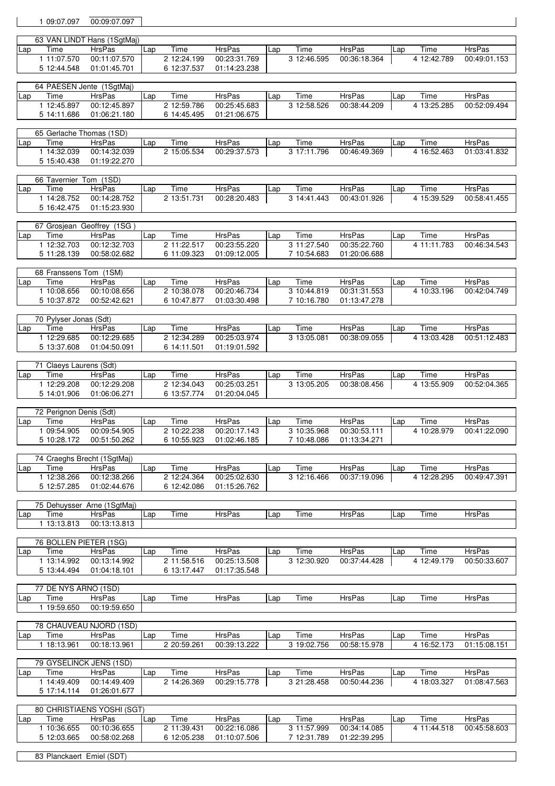| 1 09:07.097                | 00:09:07.097                          |      |                                   |                               |     |                            |                               |     |                     |                               |
|----------------------------|---------------------------------------|------|-----------------------------------|-------------------------------|-----|----------------------------|-------------------------------|-----|---------------------|-------------------------------|
|                            | 63 VAN LINDT Hans (1SgtMaj)           |      |                                   |                               |     |                            |                               |     |                     |                               |
| Time<br>Lap                | <b>HrsPas</b>                         | Lap  | Time                              | <b>HrsPas</b>                 | Lap | Time                       | <b>HrsPas</b>                 | Lap | Time                | <b>HrsPas</b>                 |
| 1 11:07.570                | 00:11:07.570                          |      | 2 12:24.199                       | 00:23:31.769                  |     | 3 12:46.595                | 00:36:18.364                  |     | 4 12:42.789         | 00:49:01.153                  |
| 5 12:44.548                | 01:01:45.701                          |      | 6 12:37.537                       | 01:14:23.238                  |     |                            |                               |     |                     |                               |
|                            | 64 PAESEN Jente (1SgtMaj)             |      |                                   |                               |     |                            |                               |     |                     |                               |
| Time<br>Lap                | HrsPas                                | Lap  | Time                              | <b>HrsPas</b>                 | Lap | Time                       | <b>HrsPas</b>                 | Lap | Time                | <b>HrsPas</b>                 |
| 1 12:45.897                | 00:12:45.897                          |      | 2 12:59.786                       | 00:25:45.683                  |     | 3 12:58.526                | 00:38:44.209                  |     | 4 13:25.285         | 00:52:09.494                  |
| 5 14:11.686                | 01:06:21.180                          |      | 6 14:45.495                       | 01:21:06.675                  |     |                            |                               |     |                     |                               |
|                            | 65 Gerlache Thomas (1SD)              |      |                                   |                               |     |                            |                               |     |                     |                               |
| Time<br>Lap                | <b>HrsPas</b>                         | Lap  | Time                              | <b>HrsPas</b>                 | Lap | Time                       | <b>HrsPas</b>                 | Lap | Time                | HrsPas                        |
| 1 14:32.039                | 00:14:32.039                          |      | 2 15:05.534                       | 00:29:37.573                  |     | 3 17:11.796                | 00:46:49.369                  |     | 4 16:52.463         | 01:03:41.832                  |
| 5 15:40.438                | 01:19:22.270                          |      |                                   |                               |     |                            |                               |     |                     |                               |
|                            | 66 Tavernier Tom (1SD)                |      |                                   |                               |     |                            |                               |     |                     |                               |
| Time<br>Lap                | <b>HrsPas</b>                         | Lap  | Time                              | <b>HrsPas</b>                 | Lap | Time                       | <b>HrsPas</b>                 | Lap | Time                | <b>HrsPas</b>                 |
| 1 14:28.752<br>5 16:42.475 | 00:14:28.752<br>01:15:23.930          |      | 2 13:51.731                       | 00:28:20.483                  |     | 3 14:41.443                | 00:43:01.926                  |     | 4 15:39.529         | 00:58:41.455                  |
|                            |                                       |      |                                   |                               |     |                            |                               |     |                     |                               |
|                            | 67 Grosjean Geoffrey (1SG)            |      |                                   |                               |     |                            |                               |     |                     |                               |
| Time<br>Lap                | <b>HrsPas</b>                         | Lap  | Time                              | <b>HrsPas</b>                 | Lap | Time                       | <b>HrsPas</b>                 | Lap | Time                | <b>HrsPas</b>                 |
| 1 12:32.703<br>5 11:28.139 | 00:12:32.703<br>00:58:02.682          |      | 2 11:22.517<br>6 11:09.323        | 00:23:55.220<br>01:09:12.005  |     | 3 11:27.540<br>7 10:54.683 | 00:35:22.760<br>01:20:06.688  |     | 4 11:11.783         | 00:46:34.543                  |
|                            |                                       |      |                                   |                               |     |                            |                               |     |                     |                               |
|                            | 68 Franssens Tom (1SM)                |      |                                   |                               |     |                            |                               |     |                     |                               |
| Time<br>Lap                | <b>HrsPas</b>                         | Lap  | Time                              | <b>HrsPas</b>                 | Lap | Time                       | <b>HrsPas</b>                 | Lap | Time                | <b>HrsPas</b>                 |
| 1 10:08.656<br>5 10:37.872 | 00:10:08.656<br>00:52:42.621          |      | 2 10:38.078<br>6 10:47.877        | 00:20:46.734<br>01:03:30.498  |     | 3 10:44.819<br>7 10:16.780 | 00:31:31.553<br>01:13:47.278  |     | 4 10:33.196         | 00:42:04.749                  |
|                            |                                       |      |                                   |                               |     |                            |                               |     |                     |                               |
|                            | 70 Pylyser Jonas (Sdt)                |      |                                   |                               |     |                            |                               |     |                     |                               |
| Time<br>Lap                | HrsPas                                | Lap  | Time                              | <b>HrsPas</b>                 | Lap | Time                       | <b>HrsPas</b>                 | Lap | Time                | <b>HrsPas</b>                 |
| 1 12:29.685<br>5 13:37.608 | 00:12:29.685<br>01:04:50.091          |      | 2 12:34.289<br>6 14:11.501        | 00:25:03.974<br>01:19:01.592  |     | 3 13:05.081                | 00:38:09.055                  |     | 4 13:03.428         | 00:51:12.483                  |
|                            |                                       |      |                                   |                               |     |                            |                               |     |                     |                               |
|                            | 71 Claeys Laurens (Sdt)               |      |                                   |                               |     |                            |                               |     |                     |                               |
| Time<br>Lap<br>1 12:29.208 | <b>HrsPas</b><br>00:12:29.208         | Lap  | Time<br>2 12:34.043               | <b>HrsPas</b><br>00:25:03.251 | Lap | Time<br>3 13:05.205        | <b>HrsPas</b><br>00:38:08.456 | Lap | Time<br>4 13:55.909 | <b>HrsPas</b><br>00:52:04.365 |
| 5 14:01.906                | 01:06:06.271                          |      | 6 13:57.774                       | 01:20:04.045                  |     |                            |                               |     |                     |                               |
|                            |                                       |      |                                   |                               |     |                            |                               |     |                     |                               |
|                            | 72 Perignon Denis (Sdt)               |      |                                   |                               |     |                            |                               |     |                     |                               |
| Time<br>Lap<br>1 09:54.905 | HrsPas<br>00:09:54.905                | Lap  | Time<br>2 10:22.238               | <b>HrsPas</b><br>00:20:17.143 | Lap | Time<br>3 10:35.968        | HrsPas<br>00:30:53.111        | Lap | Time<br>4 10:28.979 | <b>HrsPas</b><br>00:41:22.090 |
|                            | 5 10:28.172   00:51:50.262            |      |                                   | 6 10:55.923 01:02:46.185      |     |                            | 7 10:48.086 01:13:34.271      |     |                     |                               |
|                            |                                       |      |                                   |                               |     |                            |                               |     |                     |                               |
|                            | 74 Craeghs Brecht (1SgtMaj)           |      |                                   |                               |     |                            | <b>HrsPas</b>                 |     |                     | HrsPas                        |
| Time<br>Lap<br>1 12:38.266 | HrsPas<br>00:12:38.266                | Lap  | Time<br>2 12:24.364               | HrsPas<br>00:25:02.630        | Lap | Time<br>3 12:16.466        | 00:37:19.096                  | Lap | Time<br>4 12:28.295 | 00:49:47.391                  |
| 5 12:57.285                | 01:02:44.676                          |      | 6 12:42.086                       | 01:15:26.762                  |     |                            |                               |     |                     |                               |
|                            |                                       |      |                                   |                               |     |                            |                               |     |                     |                               |
| Time                       | 75 Dehuysser Arne (1SgtMaj)<br>HrsPas | Lap  | Time                              | <b>HrsPas</b>                 | Lap | Time                       | <b>HrsPas</b>                 | Lap | Time                | <b>HrsPas</b>                 |
| Lap<br>1 13:13.813         | 00:13:13.813                          |      |                                   |                               |     |                            |                               |     |                     |                               |
|                            |                                       |      |                                   |                               |     |                            |                               |     |                     |                               |
|                            | 76 BOLLEN PIETER (1SG)                |      |                                   |                               |     |                            |                               |     |                     |                               |
| Time<br>Lap<br>1 13:14.992 | <b>HrsPas</b><br>00:13:14.992         | TLap | $\overline{T}$ ime<br>2 11:58.516 | HrsPas<br>00:25:13.508        | Lap | Time<br>3 12:30.920        | HrsPas<br>00:37:44.428        | Lap | Time<br>4 12:49.179 | HrsPas<br>00:50:33.607        |
|                            | 5 13:44.494  01:04:18.101             |      | 6 13:17.447                       | 01:17:35.548                  |     |                            |                               |     |                     |                               |
|                            |                                       |      |                                   |                               |     |                            |                               |     |                     |                               |
| Time                       | 77 DE NYS ARNO (1SD)<br>HrsPas        |      | Time                              | <b>HrsPas</b>                 | Lap | Time                       | <b>HrsPas</b>                 |     | Time                | <b>HrsPas</b>                 |
| Lap<br>1 19:59.650         | 00:19:59.650                          | Lap  |                                   |                               |     |                            |                               | Lap |                     |                               |
|                            |                                       |      |                                   |                               |     |                            |                               |     |                     |                               |
|                            | 78 CHAUVEAU NJORD (1SD)               |      |                                   |                               |     |                            |                               |     |                     |                               |
| Time<br>Lap<br>1 18:13.961 | HrsPas<br>00:18:13.961                | Lap  | Time<br>2 20:59.261               | <b>HrsPas</b><br>00:39:13.222 | Lap | Time<br>3 19:02.756        | HrsPas<br>00:58:15.978        | Lap | Time<br>4 16:52.173 | HrsPas<br>01:15:08.151        |
|                            |                                       |      |                                   |                               |     |                            |                               |     |                     |                               |
|                            | 79 GYSELINCK JENS (1SD)               |      |                                   |                               |     |                            |                               |     |                     |                               |
| Time<br>Lap                | HrsPas                                | Lap  | Time                              | <b>HrsPas</b>                 | Lap | Time                       | <b>HrsPas</b>                 | Lap | Time                | HrsPas                        |
| 1 14:49.409<br>5 17:14.114 | 00:14:49.409<br>01:26:01.677          |      | 2 14:26.369                       | 00:29:15.778                  |     | 3 21:28.458                | 00:50:44.236                  |     | 4 18:03.327         | 01:08:47.563                  |
|                            |                                       |      |                                   |                               |     |                            |                               |     |                     |                               |
|                            | 80 CHRISTIAENS YOSHI (SGT)            |      |                                   |                               |     |                            |                               |     |                     |                               |
| Time<br>Lap                | HrsPas                                | Lap_ | Time                              | HrsPas                        | Lap | Time                       | HrsPas                        | Lap | Time                | HrsPas                        |
| 1 10:36.655<br>5 12:03.665 | 00:10:36.655                          |      | 2 11:39.431                       | 00:22:16.086                  |     | 3 11:57.999                | 00:34:14.085<br>01:22:39.295  |     |                     | 4 11:44.518  00:45:58.603     |
|                            | 00:58:02.268                          |      | 6 12:05.238                       | 01:10:07.506                  |     | 7 12:31.789                |                               |     |                     |                               |

83 Planckaert Emiel (SDT)